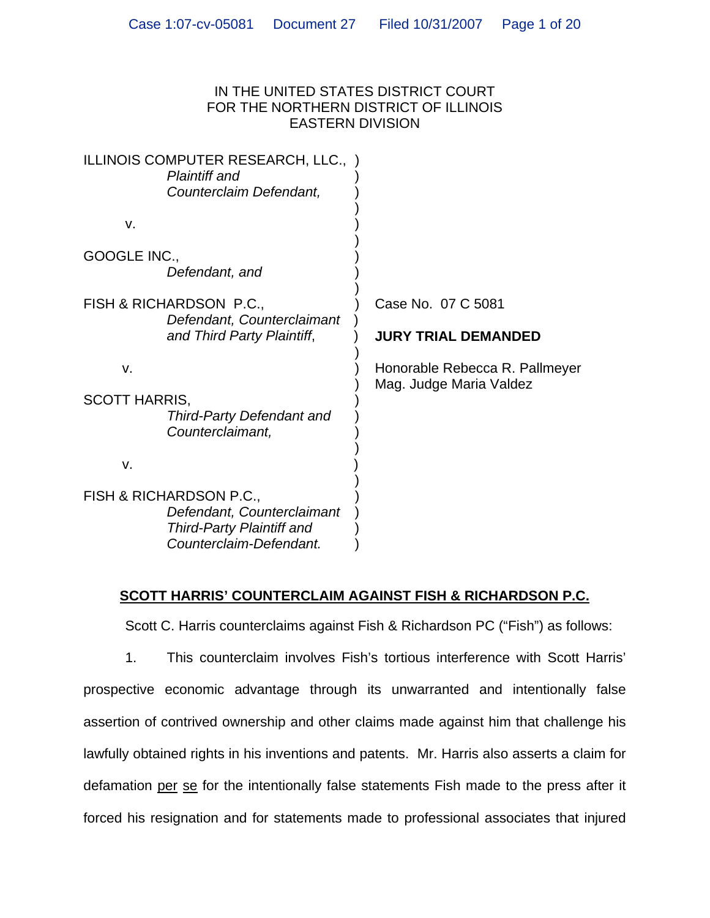### IN THE UNITED STATES DISTRICT COURT FOR THE NORTHERN DISTRICT OF ILLINOIS EASTERN DIVISION

|                                                                                                                      | ILLINOIS COMPUTER RESEARCH, LLC., )<br><b>Plaintiff and</b><br>Counterclaim Defendant, |                                                           |
|----------------------------------------------------------------------------------------------------------------------|----------------------------------------------------------------------------------------|-----------------------------------------------------------|
| v.                                                                                                                   |                                                                                        |                                                           |
| GOOGLE INC.,                                                                                                         | Defendant, and                                                                         |                                                           |
|                                                                                                                      | FISH & RICHARDSON P.C.,<br>Defendant, Counterclaimant<br>and Third Party Plaintiff,    | Case No. 07 C 5081                                        |
|                                                                                                                      |                                                                                        | <b>JURY TRIAL DEMANDED</b>                                |
| V.<br><b>SCOTT HARRIS,</b>                                                                                           | <b>Third-Party Defendant and</b><br>Counterclaimant,                                   | Honorable Rebecca R. Pallmeyer<br>Mag. Judge Maria Valdez |
| v.                                                                                                                   |                                                                                        |                                                           |
| FISH & RICHARDSON P.C.,<br>Defendant, Counterclaimant<br><b>Third-Party Plaintiff and</b><br>Counterclaim-Defendant. |                                                                                        |                                                           |

# **SCOTT HARRIS' COUNTERCLAIM AGAINST FISH & RICHARDSON P.C.**

Scott C. Harris counterclaims against Fish & Richardson PC ("Fish") as follows:

1. This counterclaim involves Fish's tortious interference with Scott Harris' prospective economic advantage through its unwarranted and intentionally false assertion of contrived ownership and other claims made against him that challenge his lawfully obtained rights in his inventions and patents. Mr. Harris also asserts a claim for defamation per se for the intentionally false statements Fish made to the press after it forced his resignation and for statements made to professional associates that injured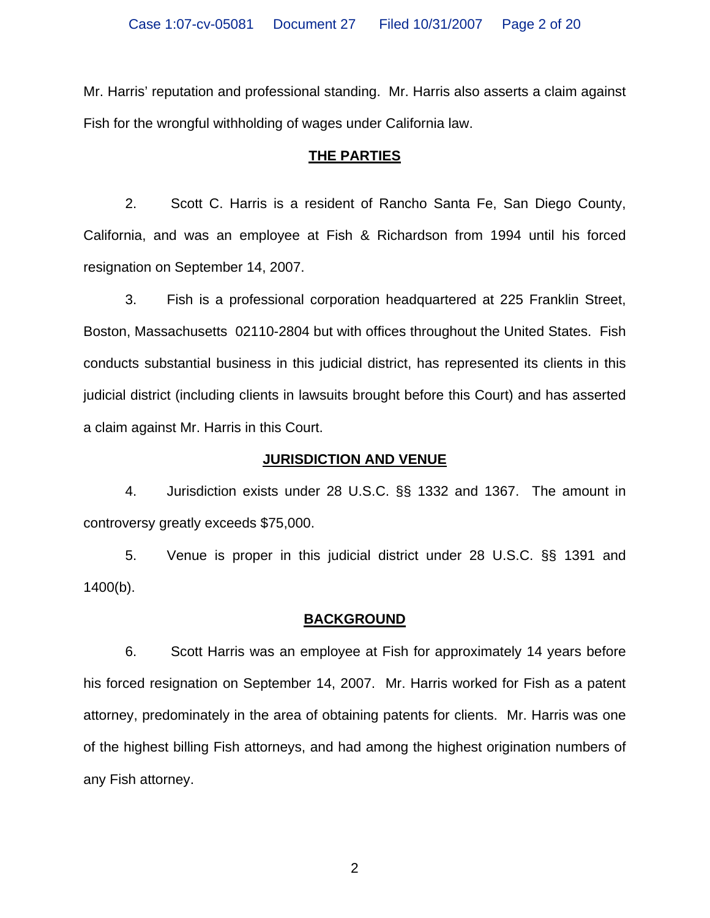Mr. Harris' reputation and professional standing. Mr. Harris also asserts a claim against Fish for the wrongful withholding of wages under California law.

## **THE PARTIES**

2. Scott C. Harris is a resident of Rancho Santa Fe, San Diego County, California, and was an employee at Fish & Richardson from 1994 until his forced resignation on September 14, 2007.

3. Fish is a professional corporation headquartered at 225 Franklin Street, Boston, Massachusetts 02110-2804 but with offices throughout the United States. Fish conducts substantial business in this judicial district, has represented its clients in this judicial district (including clients in lawsuits brought before this Court) and has asserted a claim against Mr. Harris in this Court.

## **JURISDICTION AND VENUE**

4. Jurisdiction exists under 28 U.S.C. §§ 1332 and 1367. The amount in controversy greatly exceeds \$75,000.

5. Venue is proper in this judicial district under 28 U.S.C. §§ 1391 and 1400(b).

## **BACKGROUND**

6. Scott Harris was an employee at Fish for approximately 14 years before his forced resignation on September 14, 2007. Mr. Harris worked for Fish as a patent attorney, predominately in the area of obtaining patents for clients. Mr. Harris was one of the highest billing Fish attorneys, and had among the highest origination numbers of any Fish attorney.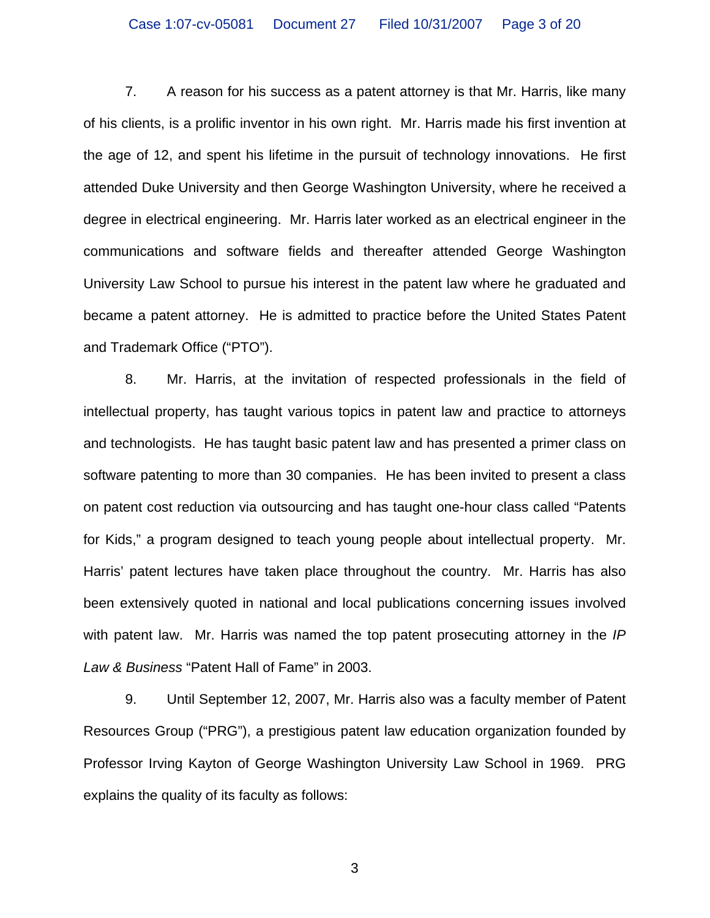7. A reason for his success as a patent attorney is that Mr. Harris, like many of his clients, is a prolific inventor in his own right. Mr. Harris made his first invention at the age of 12, and spent his lifetime in the pursuit of technology innovations. He first attended Duke University and then George Washington University, where he received a degree in electrical engineering. Mr. Harris later worked as an electrical engineer in the communications and software fields and thereafter attended George Washington University Law School to pursue his interest in the patent law where he graduated and became a patent attorney. He is admitted to practice before the United States Patent and Trademark Office ("PTO").

8. Mr. Harris, at the invitation of respected professionals in the field of intellectual property, has taught various topics in patent law and practice to attorneys and technologists. He has taught basic patent law and has presented a primer class on software patenting to more than 30 companies. He has been invited to present a class on patent cost reduction via outsourcing and has taught one-hour class called "Patents for Kids," a program designed to teach young people about intellectual property. Mr. Harris' patent lectures have taken place throughout the country. Mr. Harris has also been extensively quoted in national and local publications concerning issues involved with patent law. Mr. Harris was named the top patent prosecuting attorney in the *IP Law & Business* "Patent Hall of Fame" in 2003.

9. Until September 12, 2007, Mr. Harris also was a faculty member of Patent Resources Group ("PRG"), a prestigious patent law education organization founded by Professor Irving Kayton of George Washington University Law School in 1969. PRG explains the quality of its faculty as follows: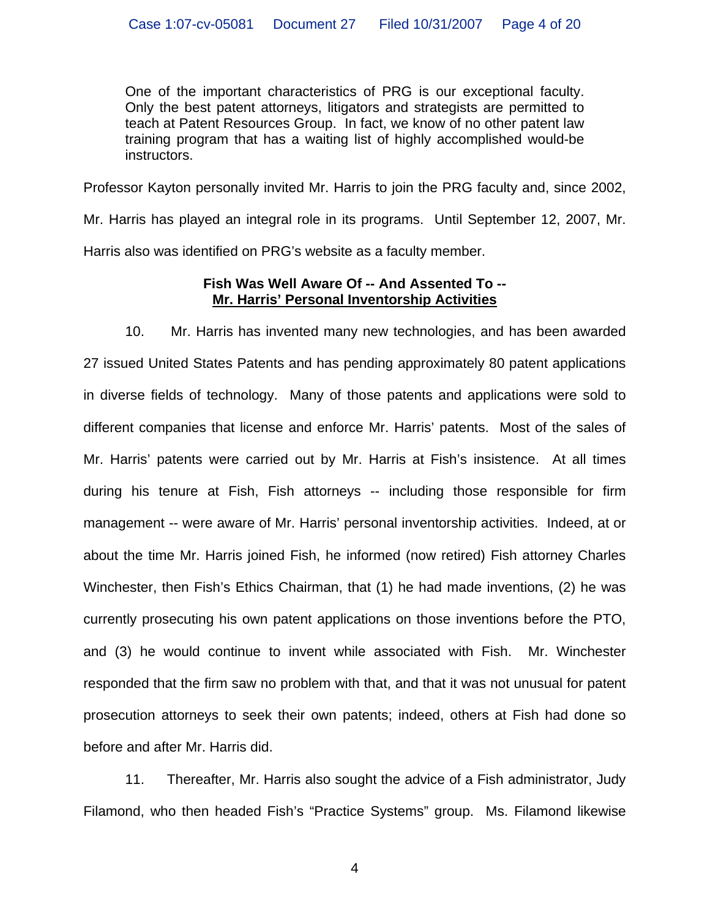One of the important characteristics of PRG is our exceptional faculty. Only the best patent attorneys, litigators and strategists are permitted to teach at Patent Resources Group. In fact, we know of no other patent law training program that has a waiting list of highly accomplished would-be instructors.

Professor Kayton personally invited Mr. Harris to join the PRG faculty and, since 2002, Mr. Harris has played an integral role in its programs. Until September 12, 2007, Mr. Harris also was identified on PRG's website as a faculty member.

## **Fish Was Well Aware Of -- And Assented To -- Mr. Harris' Personal Inventorship Activities**

10. Mr. Harris has invented many new technologies, and has been awarded 27 issued United States Patents and has pending approximately 80 patent applications in diverse fields of technology. Many of those patents and applications were sold to different companies that license and enforce Mr. Harris' patents. Most of the sales of Mr. Harris' patents were carried out by Mr. Harris at Fish's insistence. At all times during his tenure at Fish, Fish attorneys -- including those responsible for firm management -- were aware of Mr. Harris' personal inventorship activities. Indeed, at or about the time Mr. Harris joined Fish, he informed (now retired) Fish attorney Charles Winchester, then Fish's Ethics Chairman, that (1) he had made inventions, (2) he was currently prosecuting his own patent applications on those inventions before the PTO, and (3) he would continue to invent while associated with Fish. Mr. Winchester responded that the firm saw no problem with that, and that it was not unusual for patent prosecution attorneys to seek their own patents; indeed, others at Fish had done so before and after Mr. Harris did.

11. Thereafter, Mr. Harris also sought the advice of a Fish administrator, Judy Filamond, who then headed Fish's "Practice Systems" group. Ms. Filamond likewise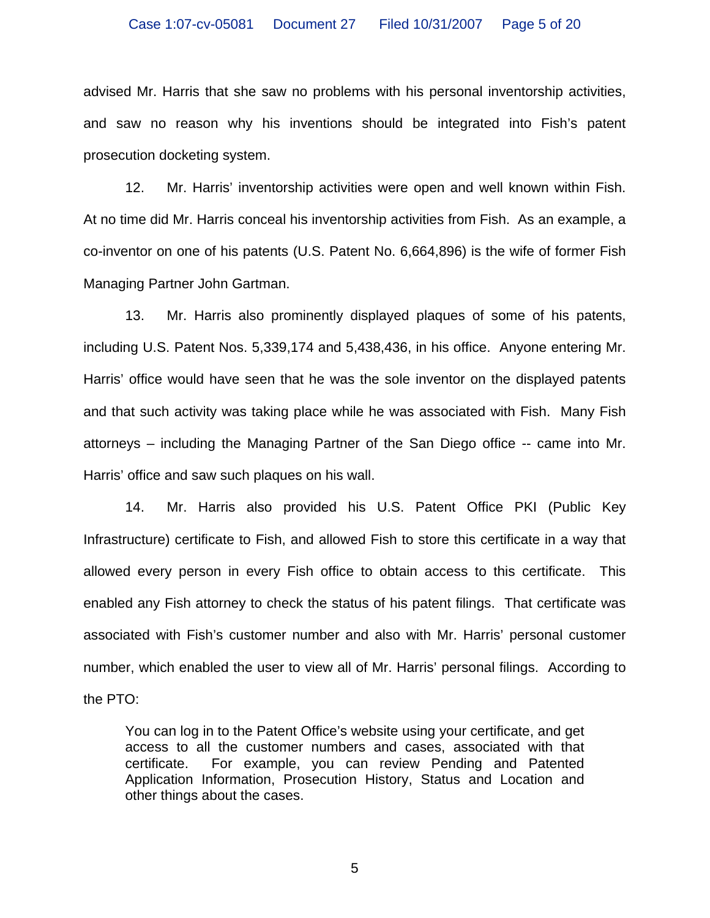advised Mr. Harris that she saw no problems with his personal inventorship activities, and saw no reason why his inventions should be integrated into Fish's patent prosecution docketing system.

12. Mr. Harris' inventorship activities were open and well known within Fish. At no time did Mr. Harris conceal his inventorship activities from Fish. As an example, a co-inventor on one of his patents (U.S. Patent No. 6,664,896) is the wife of former Fish Managing Partner John Gartman.

13. Mr. Harris also prominently displayed plaques of some of his patents, including U.S. Patent Nos. 5,339,174 and 5,438,436, in his office. Anyone entering Mr. Harris' office would have seen that he was the sole inventor on the displayed patents and that such activity was taking place while he was associated with Fish. Many Fish attorneys – including the Managing Partner of the San Diego office -- came into Mr. Harris' office and saw such plaques on his wall.

14. Mr. Harris also provided his U.S. Patent Office PKI (Public Key Infrastructure) certificate to Fish, and allowed Fish to store this certificate in a way that allowed every person in every Fish office to obtain access to this certificate. This enabled any Fish attorney to check the status of his patent filings. That certificate was associated with Fish's customer number and also with Mr. Harris' personal customer number, which enabled the user to view all of Mr. Harris' personal filings. According to the PTO:

You can log in to the Patent Office's website using your certificate, and get access to all the customer numbers and cases, associated with that certificate. For example, you can review Pending and Patented Application Information, Prosecution History, Status and Location and other things about the cases.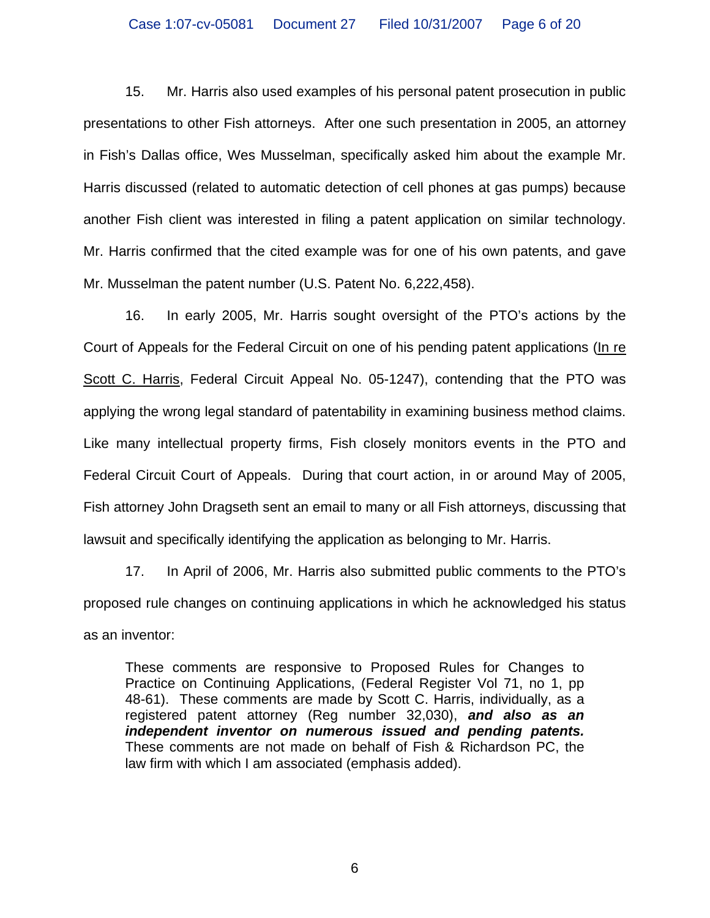15. Mr. Harris also used examples of his personal patent prosecution in public presentations to other Fish attorneys. After one such presentation in 2005, an attorney in Fish's Dallas office, Wes Musselman, specifically asked him about the example Mr. Harris discussed (related to automatic detection of cell phones at gas pumps) because another Fish client was interested in filing a patent application on similar technology. Mr. Harris confirmed that the cited example was for one of his own patents, and gave Mr. Musselman the patent number (U.S. Patent No. 6,222,458).

16. In early 2005, Mr. Harris sought oversight of the PTO's actions by the Court of Appeals for the Federal Circuit on one of his pending patent applications (In re Scott C. Harris, Federal Circuit Appeal No. 05-1247), contending that the PTO was applying the wrong legal standard of patentability in examining business method claims. Like many intellectual property firms, Fish closely monitors events in the PTO and Federal Circuit Court of Appeals. During that court action, in or around May of 2005, Fish attorney John Dragseth sent an email to many or all Fish attorneys, discussing that lawsuit and specifically identifying the application as belonging to Mr. Harris.

17. In April of 2006, Mr. Harris also submitted public comments to the PTO's proposed rule changes on continuing applications in which he acknowledged his status as an inventor:

These comments are responsive to Proposed Rules for Changes to Practice on Continuing Applications, (Federal Register Vol 71, no 1, pp 48-61). These comments are made by Scott C. Harris, individually, as a registered patent attorney (Reg number 32,030), *and also as an independent inventor on numerous issued and pending patents.* These comments are not made on behalf of Fish & Richardson PC, the law firm with which I am associated (emphasis added).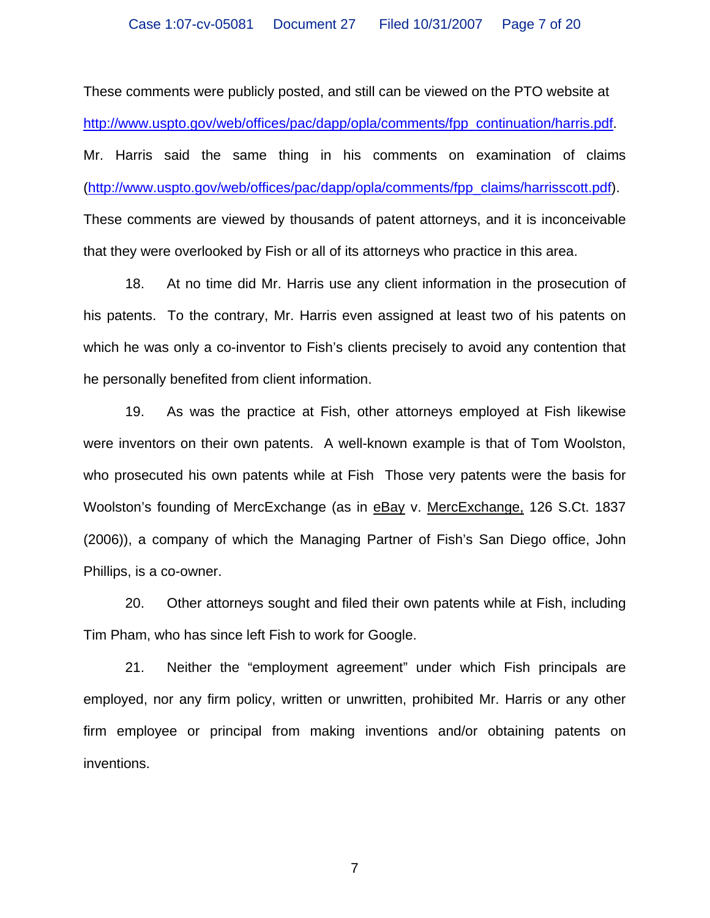These comments were publicly posted, and still can be viewed on the PTO website at [http://www.uspto.gov/web/offices/pac/dapp/opla/comments/fpp\\_continuation/harris.pdf.](http://www.uspto.gov/web/offices/pac/dapp/opla/comments/fpp_continuation/harris.pdf) Mr. Harris said the same thing in his comments on examination of claims ([http://www.uspto.gov/web/offices/pac/dapp/opla/comments/fpp\\_claims/harrisscott.pdf](http://www.uspto.gov/web/offices/pac/dapp/opla/comments/fpp_claims/harrisscott.pdf)). These comments are viewed by thousands of patent attorneys, and it is inconceivable that they were overlooked by Fish or all of its attorneys who practice in this area.

18. At no time did Mr. Harris use any client information in the prosecution of his patents. To the contrary, Mr. Harris even assigned at least two of his patents on which he was only a co-inventor to Fish's clients precisely to avoid any contention that he personally benefited from client information.

19. As was the practice at Fish, other attorneys employed at Fish likewise were inventors on their own patents. A well-known example is that of Tom Woolston, who prosecuted his own patents while at Fish Those very patents were the basis for Woolston's founding of MercExchange (as in eBay v. MercExchange, 126 S.Ct. 1837 (2006)), a company of which the Managing Partner of Fish's San Diego office, John Phillips, is a co-owner.

20. Other attorneys sought and filed their own patents while at Fish, including Tim Pham, who has since left Fish to work for Google.

21. Neither the "employment agreement" under which Fish principals are employed, nor any firm policy, written or unwritten, prohibited Mr. Harris or any other firm employee or principal from making inventions and/or obtaining patents on inventions.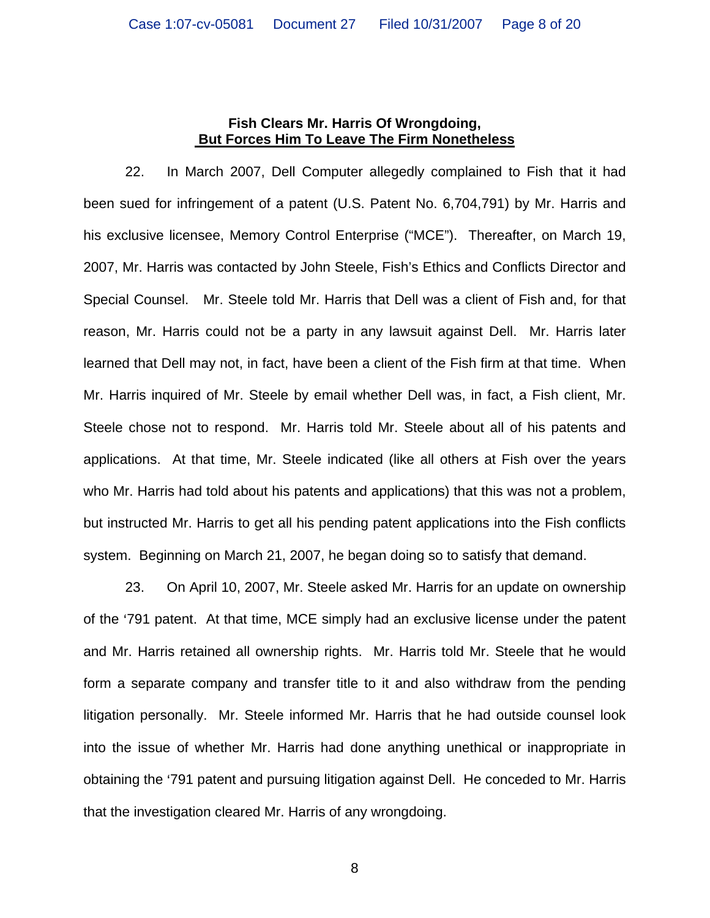### **Fish Clears Mr. Harris Of Wrongdoing, But Forces Him To Leave The Firm Nonetheless**

22. In March 2007, Dell Computer allegedly complained to Fish that it had been sued for infringement of a patent (U.S. Patent No. 6,704,791) by Mr. Harris and his exclusive licensee, Memory Control Enterprise ("MCE"). Thereafter, on March 19, 2007, Mr. Harris was contacted by John Steele, Fish's Ethics and Conflicts Director and Special Counsel. Mr. Steele told Mr. Harris that Dell was a client of Fish and, for that reason, Mr. Harris could not be a party in any lawsuit against Dell. Mr. Harris later learned that Dell may not, in fact, have been a client of the Fish firm at that time. When Mr. Harris inquired of Mr. Steele by email whether Dell was, in fact, a Fish client, Mr. Steele chose not to respond. Mr. Harris told Mr. Steele about all of his patents and applications. At that time, Mr. Steele indicated (like all others at Fish over the years who Mr. Harris had told about his patents and applications) that this was not a problem, but instructed Mr. Harris to get all his pending patent applications into the Fish conflicts system. Beginning on March 21, 2007, he began doing so to satisfy that demand.

23. On April 10, 2007, Mr. Steele asked Mr. Harris for an update on ownership of the '791 patent. At that time, MCE simply had an exclusive license under the patent and Mr. Harris retained all ownership rights. Mr. Harris told Mr. Steele that he would form a separate company and transfer title to it and also withdraw from the pending litigation personally. Mr. Steele informed Mr. Harris that he had outside counsel look into the issue of whether Mr. Harris had done anything unethical or inappropriate in obtaining the '791 patent and pursuing litigation against Dell. He conceded to Mr. Harris that the investigation cleared Mr. Harris of any wrongdoing.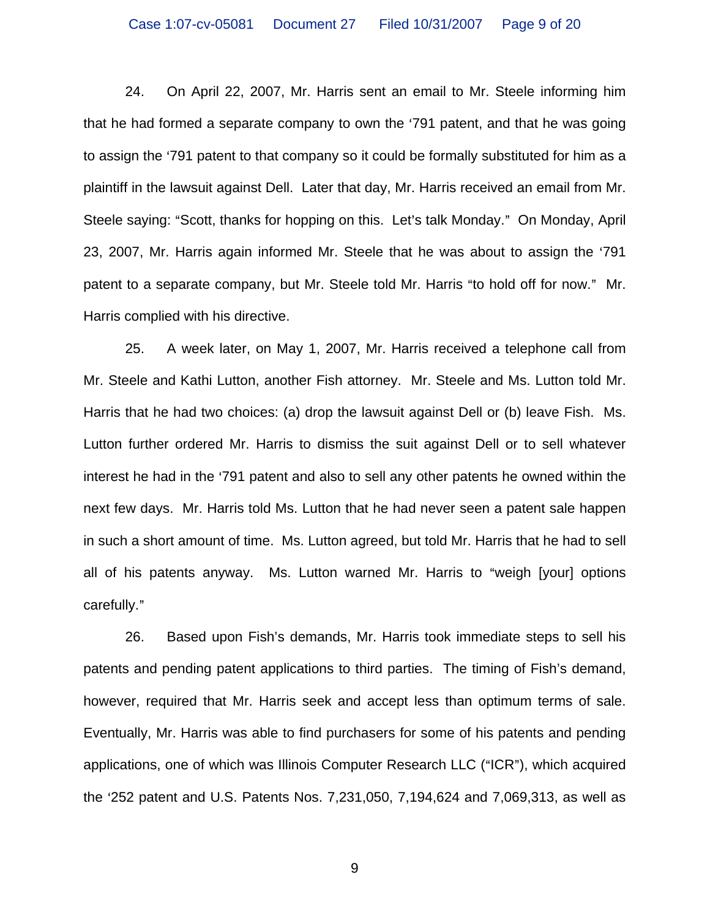24. On April 22, 2007, Mr. Harris sent an email to Mr. Steele informing him that he had formed a separate company to own the '791 patent, and that he was going to assign the '791 patent to that company so it could be formally substituted for him as a plaintiff in the lawsuit against Dell. Later that day, Mr. Harris received an email from Mr. Steele saying: "Scott, thanks for hopping on this. Let's talk Monday." On Monday, April 23, 2007, Mr. Harris again informed Mr. Steele that he was about to assign the '791 patent to a separate company, but Mr. Steele told Mr. Harris "to hold off for now." Mr. Harris complied with his directive.

25. A week later, on May 1, 2007, Mr. Harris received a telephone call from Mr. Steele and Kathi Lutton, another Fish attorney. Mr. Steele and Ms. Lutton told Mr. Harris that he had two choices: (a) drop the lawsuit against Dell or (b) leave Fish. Ms. Lutton further ordered Mr. Harris to dismiss the suit against Dell or to sell whatever interest he had in the '791 patent and also to sell any other patents he owned within the next few days. Mr. Harris told Ms. Lutton that he had never seen a patent sale happen in such a short amount of time. Ms. Lutton agreed, but told Mr. Harris that he had to sell all of his patents anyway. Ms. Lutton warned Mr. Harris to "weigh [your] options carefully."

26. Based upon Fish's demands, Mr. Harris took immediate steps to sell his patents and pending patent applications to third parties. The timing of Fish's demand, however, required that Mr. Harris seek and accept less than optimum terms of sale. Eventually, Mr. Harris was able to find purchasers for some of his patents and pending applications, one of which was Illinois Computer Research LLC ("ICR"), which acquired the >252 patent and U.S. Patents Nos. 7,231,050, 7,194,624 and 7,069,313, as well as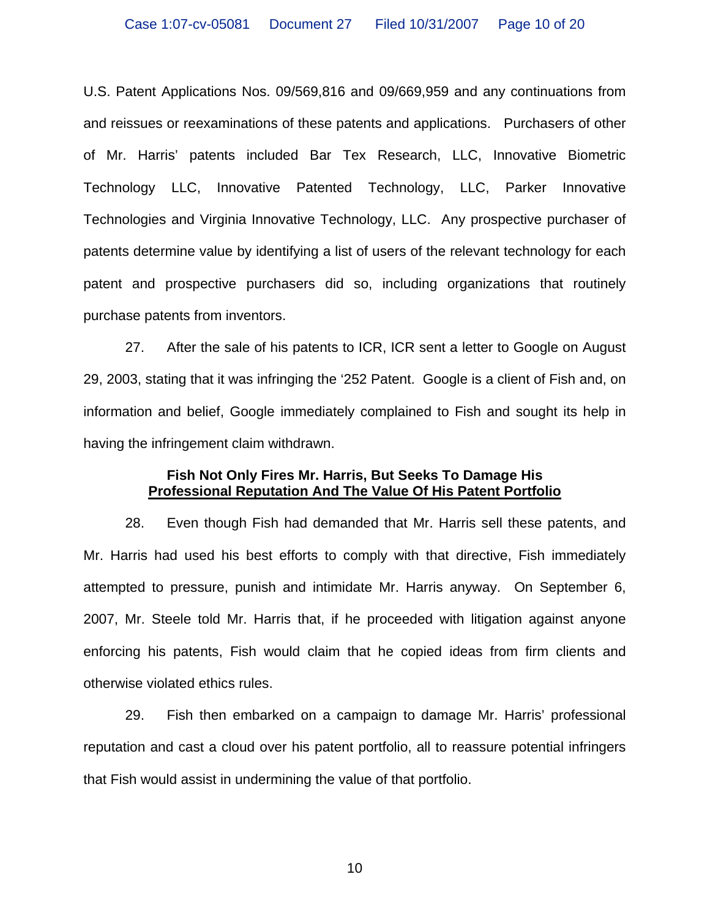U.S. Patent Applications Nos. 09/569,816 and 09/669,959 and any continuations from and reissues or reexaminations of these patents and applications. Purchasers of other of Mr. Harris' patents included Bar Tex Research, LLC, Innovative Biometric Technology LLC, Innovative Patented Technology, LLC, Parker Innovative Technologies and Virginia Innovative Technology, LLC. Any prospective purchaser of patents determine value by identifying a list of users of the relevant technology for each patent and prospective purchasers did so, including organizations that routinely purchase patents from inventors.

27. After the sale of his patents to ICR, ICR sent a letter to Google on August 29, 2003, stating that it was infringing the '252 Patent. Google is a client of Fish and, on information and belief, Google immediately complained to Fish and sought its help in having the infringement claim withdrawn.

## **Fish Not Only Fires Mr. Harris, But Seeks To Damage His Professional Reputation And The Value Of His Patent Portfolio**

28. Even though Fish had demanded that Mr. Harris sell these patents, and Mr. Harris had used his best efforts to comply with that directive, Fish immediately attempted to pressure, punish and intimidate Mr. Harris anyway. On September 6, 2007, Mr. Steele told Mr. Harris that, if he proceeded with litigation against anyone enforcing his patents, Fish would claim that he copied ideas from firm clients and otherwise violated ethics rules.

29. Fish then embarked on a campaign to damage Mr. Harris' professional reputation and cast a cloud over his patent portfolio, all to reassure potential infringers that Fish would assist in undermining the value of that portfolio.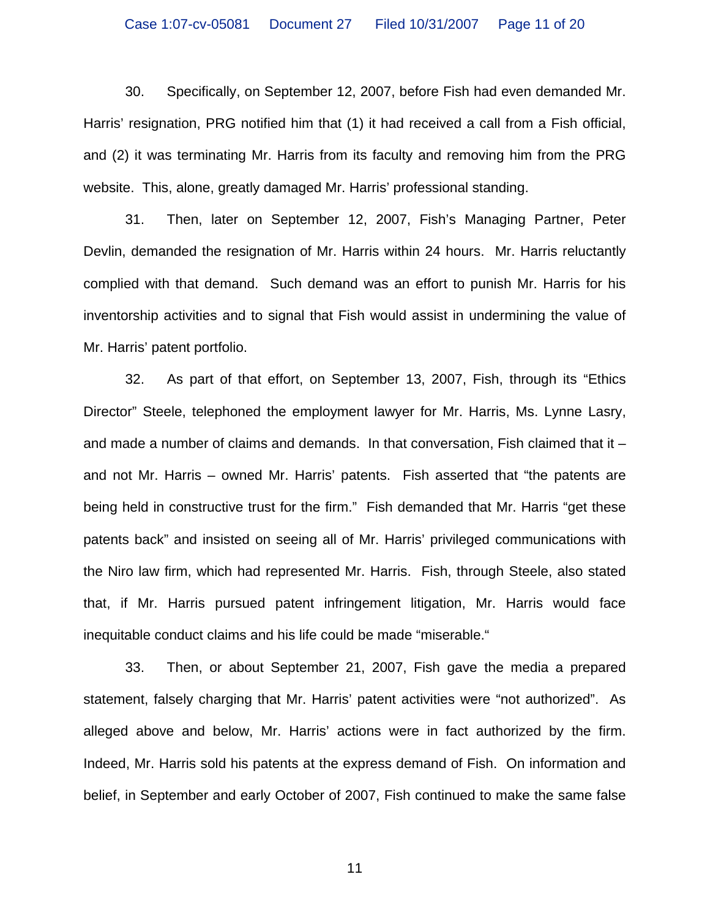30. Specifically, on September 12, 2007, before Fish had even demanded Mr. Harris' resignation, PRG notified him that (1) it had received a call from a Fish official, and (2) it was terminating Mr. Harris from its faculty and removing him from the PRG website. This, alone, greatly damaged Mr. Harris' professional standing.

31. Then, later on September 12, 2007, Fish's Managing Partner, Peter Devlin, demanded the resignation of Mr. Harris within 24 hours. Mr. Harris reluctantly complied with that demand. Such demand was an effort to punish Mr. Harris for his inventorship activities and to signal that Fish would assist in undermining the value of Mr. Harris' patent portfolio.

32. As part of that effort, on September 13, 2007, Fish, through its "Ethics Director" Steele, telephoned the employment lawyer for Mr. Harris, Ms. Lynne Lasry, and made a number of claims and demands. In that conversation, Fish claimed that it – and not Mr. Harris – owned Mr. Harris' patents. Fish asserted that "the patents are being held in constructive trust for the firm." Fish demanded that Mr. Harris "get these patents back" and insisted on seeing all of Mr. Harris' privileged communications with the Niro law firm, which had represented Mr. Harris. Fish, through Steele, also stated that, if Mr. Harris pursued patent infringement litigation, Mr. Harris would face inequitable conduct claims and his life could be made "miserable."

33. Then, or about September 21, 2007, Fish gave the media a prepared statement, falsely charging that Mr. Harris' patent activities were "not authorized". As alleged above and below, Mr. Harris' actions were in fact authorized by the firm. Indeed, Mr. Harris sold his patents at the express demand of Fish. On information and belief, in September and early October of 2007, Fish continued to make the same false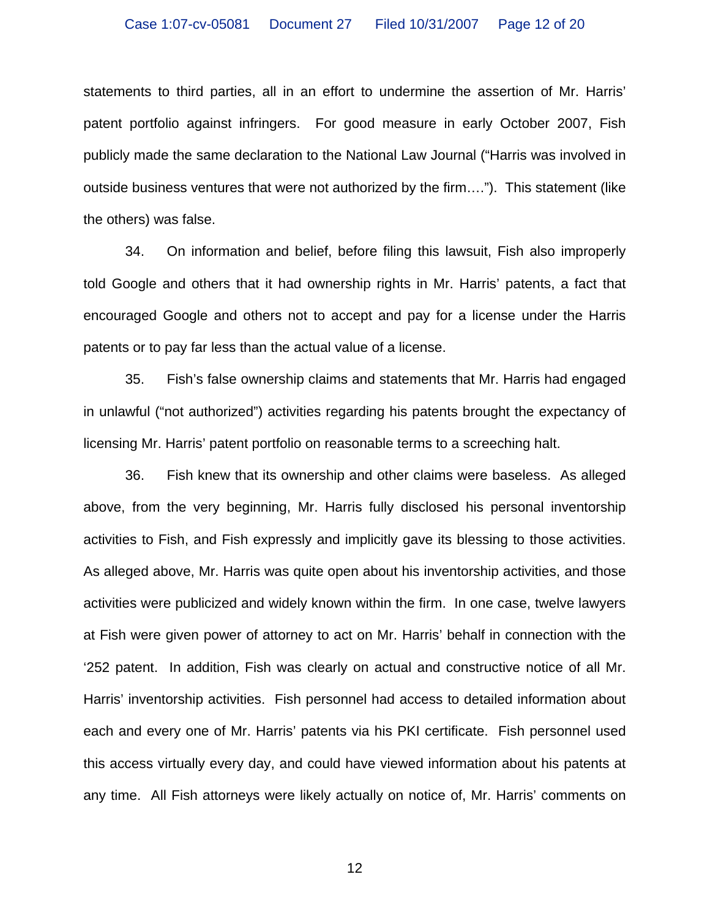statements to third parties, all in an effort to undermine the assertion of Mr. Harris' patent portfolio against infringers. For good measure in early October 2007, Fish publicly made the same declaration to the National Law Journal ("Harris was involved in outside business ventures that were not authorized by the firm…."). This statement (like the others) was false.

34. On information and belief, before filing this lawsuit, Fish also improperly told Google and others that it had ownership rights in Mr. Harris' patents, a fact that encouraged Google and others not to accept and pay for a license under the Harris patents or to pay far less than the actual value of a license.

35. Fish's false ownership claims and statements that Mr. Harris had engaged in unlawful ("not authorized") activities regarding his patents brought the expectancy of licensing Mr. Harris' patent portfolio on reasonable terms to a screeching halt.

36. Fish knew that its ownership and other claims were baseless. As alleged above, from the very beginning, Mr. Harris fully disclosed his personal inventorship activities to Fish, and Fish expressly and implicitly gave its blessing to those activities. As alleged above, Mr. Harris was quite open about his inventorship activities, and those activities were publicized and widely known within the firm. In one case, twelve lawyers at Fish were given power of attorney to act on Mr. Harris' behalf in connection with the '252 patent. In addition, Fish was clearly on actual and constructive notice of all Mr. Harris' inventorship activities. Fish personnel had access to detailed information about each and every one of Mr. Harris' patents via his PKI certificate. Fish personnel used this access virtually every day, and could have viewed information about his patents at any time. All Fish attorneys were likely actually on notice of, Mr. Harris' comments on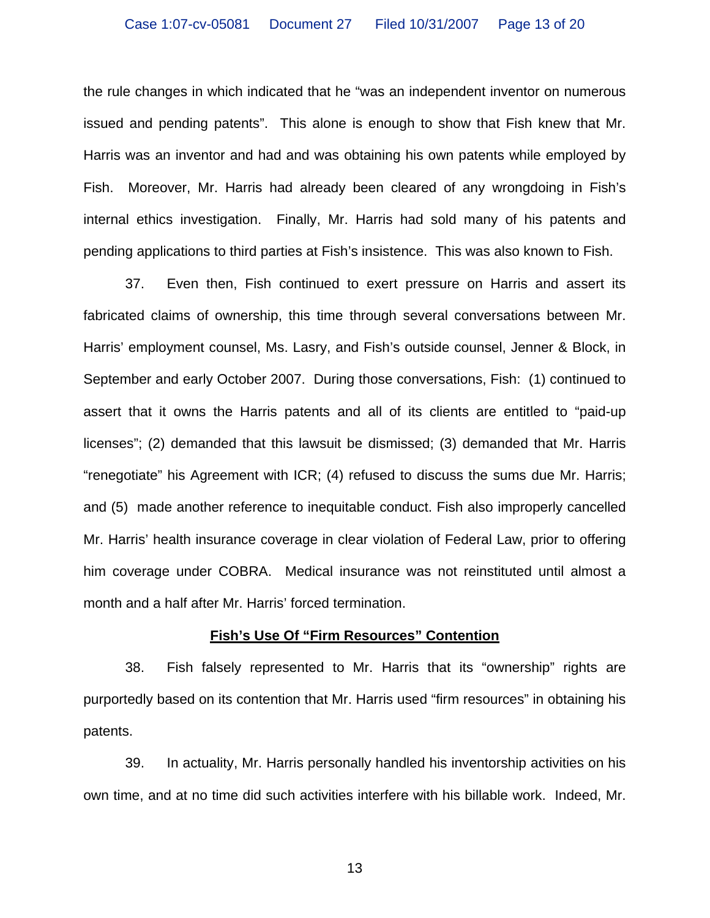the rule changes in which indicated that he "was an independent inventor on numerous issued and pending patents". This alone is enough to show that Fish knew that Mr. Harris was an inventor and had and was obtaining his own patents while employed by Fish. Moreover, Mr. Harris had already been cleared of any wrongdoing in Fish's internal ethics investigation. Finally, Mr. Harris had sold many of his patents and pending applications to third parties at Fish's insistence. This was also known to Fish.

37. Even then, Fish continued to exert pressure on Harris and assert its fabricated claims of ownership, this time through several conversations between Mr. Harris' employment counsel, Ms. Lasry, and Fish's outside counsel, Jenner & Block, in September and early October 2007. During those conversations, Fish: (1) continued to assert that it owns the Harris patents and all of its clients are entitled to "paid-up licenses"; (2) demanded that this lawsuit be dismissed; (3) demanded that Mr. Harris "renegotiate" his Agreement with ICR; (4) refused to discuss the sums due Mr. Harris; and (5) made another reference to inequitable conduct. Fish also improperly cancelled Mr. Harris' health insurance coverage in clear violation of Federal Law, prior to offering him coverage under COBRA. Medical insurance was not reinstituted until almost a month and a half after Mr. Harris' forced termination.

### **Fish's Use Of "Firm Resources" Contention**

38. Fish falsely represented to Mr. Harris that its "ownership" rights are purportedly based on its contention that Mr. Harris used "firm resources" in obtaining his patents.

39. In actuality, Mr. Harris personally handled his inventorship activities on his own time, and at no time did such activities interfere with his billable work. Indeed, Mr.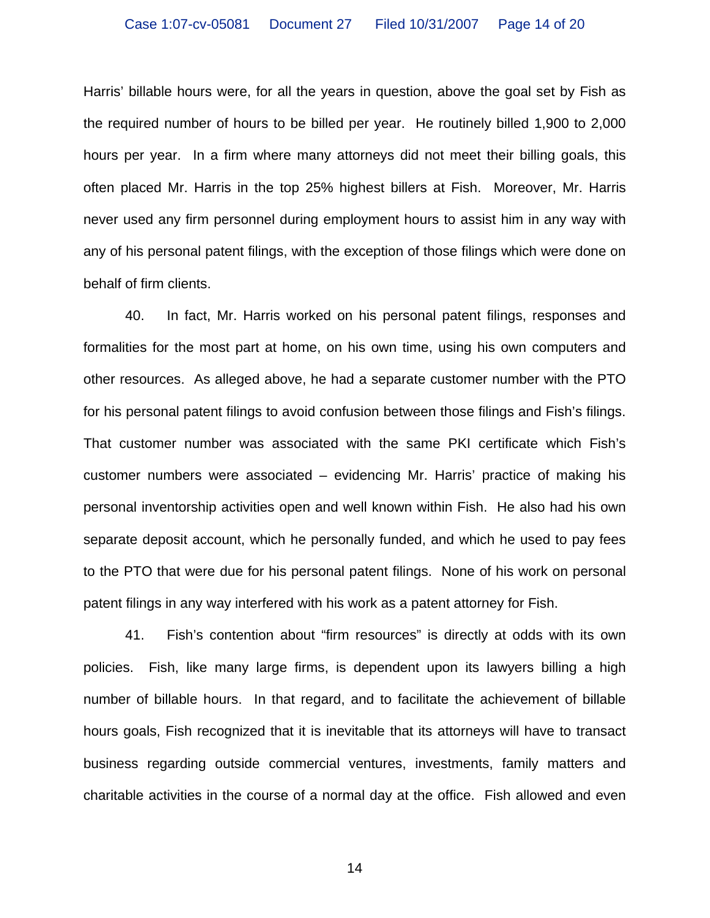Harris' billable hours were, for all the years in question, above the goal set by Fish as the required number of hours to be billed per year. He routinely billed 1,900 to 2,000 hours per year. In a firm where many attorneys did not meet their billing goals, this often placed Mr. Harris in the top 25% highest billers at Fish. Moreover, Mr. Harris never used any firm personnel during employment hours to assist him in any way with any of his personal patent filings, with the exception of those filings which were done on behalf of firm clients.

40. In fact, Mr. Harris worked on his personal patent filings, responses and formalities for the most part at home, on his own time, using his own computers and other resources. As alleged above, he had a separate customer number with the PTO for his personal patent filings to avoid confusion between those filings and Fish's filings. That customer number was associated with the same PKI certificate which Fish's customer numbers were associated – evidencing Mr. Harris' practice of making his personal inventorship activities open and well known within Fish. He also had his own separate deposit account, which he personally funded, and which he used to pay fees to the PTO that were due for his personal patent filings. None of his work on personal patent filings in any way interfered with his work as a patent attorney for Fish.

41. Fish's contention about "firm resources" is directly at odds with its own policies. Fish, like many large firms, is dependent upon its lawyers billing a high number of billable hours. In that regard, and to facilitate the achievement of billable hours goals, Fish recognized that it is inevitable that its attorneys will have to transact business regarding outside commercial ventures, investments, family matters and charitable activities in the course of a normal day at the office. Fish allowed and even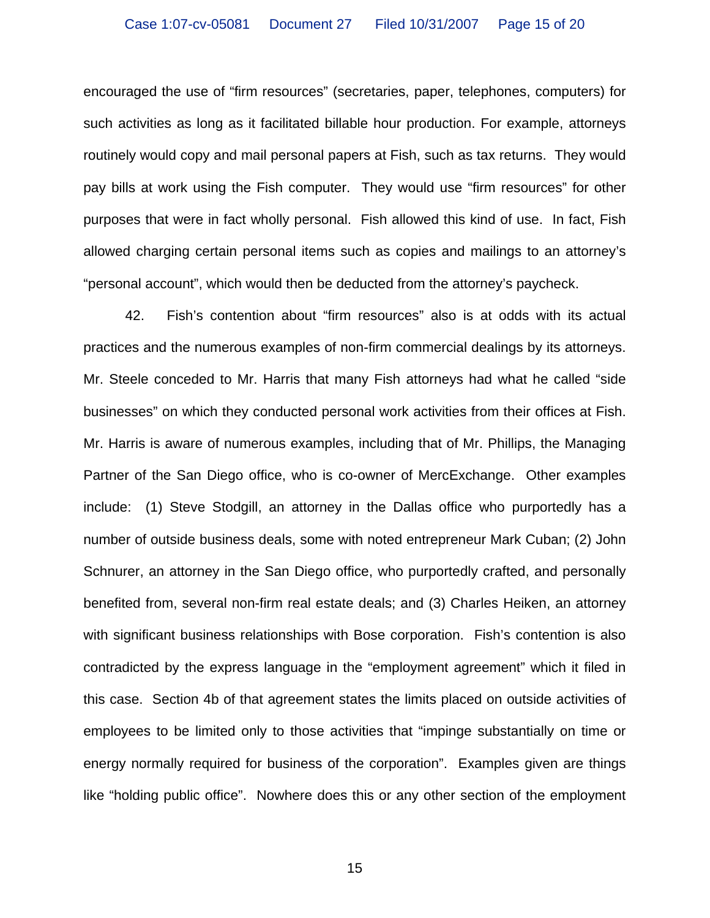encouraged the use of "firm resources" (secretaries, paper, telephones, computers) for such activities as long as it facilitated billable hour production. For example, attorneys routinely would copy and mail personal papers at Fish, such as tax returns. They would pay bills at work using the Fish computer. They would use "firm resources" for other purposes that were in fact wholly personal. Fish allowed this kind of use. In fact, Fish allowed charging certain personal items such as copies and mailings to an attorney's "personal account", which would then be deducted from the attorney's paycheck.

42. Fish's contention about "firm resources" also is at odds with its actual practices and the numerous examples of non-firm commercial dealings by its attorneys. Mr. Steele conceded to Mr. Harris that many Fish attorneys had what he called "side businesses" on which they conducted personal work activities from their offices at Fish. Mr. Harris is aware of numerous examples, including that of Mr. Phillips, the Managing Partner of the San Diego office, who is co-owner of MercExchange. Other examples include: (1) Steve Stodgill, an attorney in the Dallas office who purportedly has a number of outside business deals, some with noted entrepreneur Mark Cuban; (2) John Schnurer, an attorney in the San Diego office, who purportedly crafted, and personally benefited from, several non-firm real estate deals; and (3) Charles Heiken, an attorney with significant business relationships with Bose corporation. Fish's contention is also contradicted by the express language in the "employment agreement" which it filed in this case. Section 4b of that agreement states the limits placed on outside activities of employees to be limited only to those activities that "impinge substantially on time or energy normally required for business of the corporation". Examples given are things like "holding public office". Nowhere does this or any other section of the employment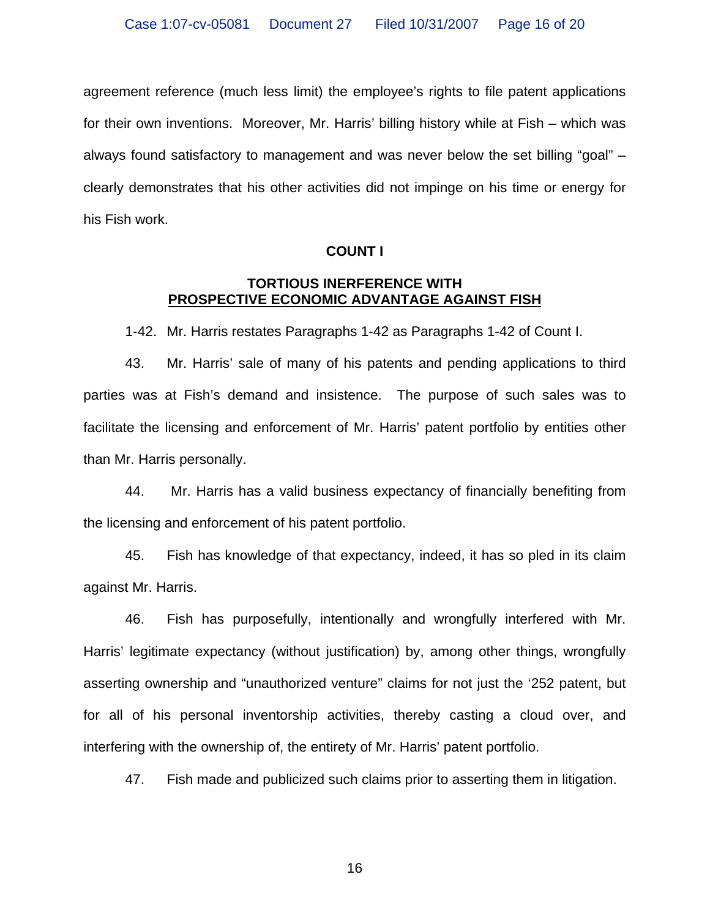agreement reference (much less limit) the employee's rights to file patent applications for their own inventions. Moreover, Mr. Harris' billing history while at Fish – which was always found satisfactory to management and was never below the set billing "goal" – clearly demonstrates that his other activities did not impinge on his time or energy for his Fish work.

### **COUNT I**

### **TORTIOUS INERFERENCE WITH PROSPECTIVE ECONOMIC ADVANTAGE AGAINST FISH**

1-42. Mr. Harris restates Paragraphs 1-42 as Paragraphs 1-42 of Count I.

43. Mr. Harris' sale of many of his patents and pending applications to third parties was at Fish's demand and insistence. The purpose of such sales was to facilitate the licensing and enforcement of Mr. Harris' patent portfolio by entities other than Mr. Harris personally.

44. Mr. Harris has a valid business expectancy of financially benefiting from the licensing and enforcement of his patent portfolio.

45. Fish has knowledge of that expectancy, indeed, it has so pled in its claim against Mr. Harris.

46. Fish has purposefully, intentionally and wrongfully interfered with Mr. Harris' legitimate expectancy (without justification) by, among other things, wrongfully asserting ownership and "unauthorized venture" claims for not just the '252 patent, but for all of his personal inventorship activities, thereby casting a cloud over, and interfering with the ownership of, the entirety of Mr. Harris' patent portfolio.

47. Fish made and publicized such claims prior to asserting them in litigation.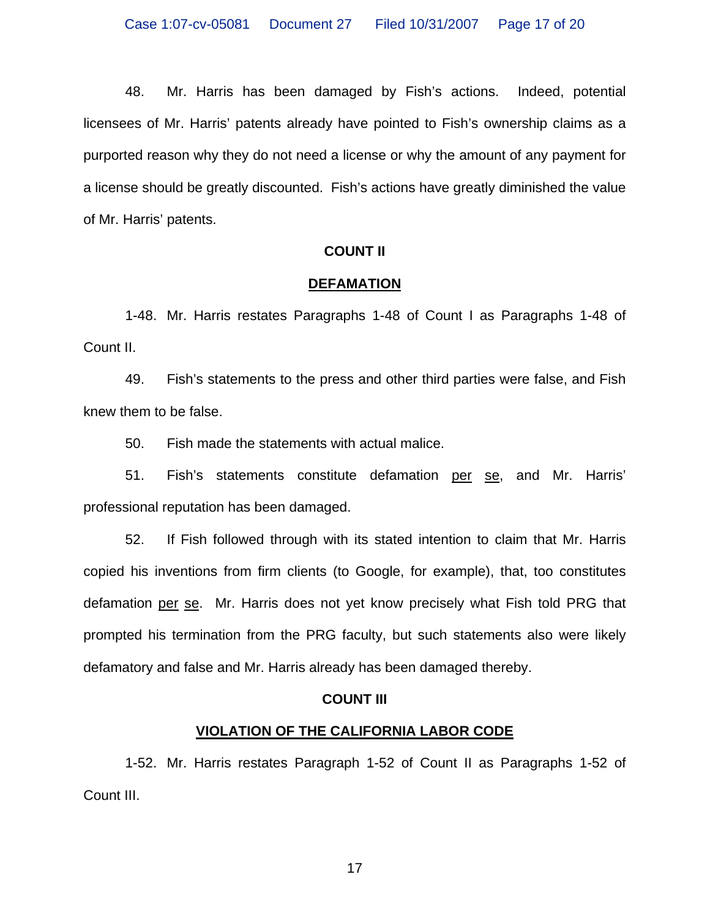48. Mr. Harris has been damaged by Fish's actions. Indeed, potential licensees of Mr. Harris' patents already have pointed to Fish's ownership claims as a purported reason why they do not need a license or why the amount of any payment for a license should be greatly discounted. Fish's actions have greatly diminished the value of Mr. Harris' patents.

### **COUNT II**

#### **DEFAMATION**

1-48. Mr. Harris restates Paragraphs 1-48 of Count I as Paragraphs 1-48 of Count II.

49. Fish's statements to the press and other third parties were false, and Fish knew them to be false.

50. Fish made the statements with actual malice.

51. Fish's statements constitute defamation per se, and Mr. Harris' professional reputation has been damaged.

52. If Fish followed through with its stated intention to claim that Mr. Harris copied his inventions from firm clients (to Google, for example), that, too constitutes defamation per se. Mr. Harris does not yet know precisely what Fish told PRG that prompted his termination from the PRG faculty, but such statements also were likely defamatory and false and Mr. Harris already has been damaged thereby.

### **COUNT III**

## **VIOLATION OF THE CALIFORNIA LABOR CODE**

 1-52. Mr. Harris restates Paragraph 1-52 of Count II as Paragraphs 1-52 of Count III.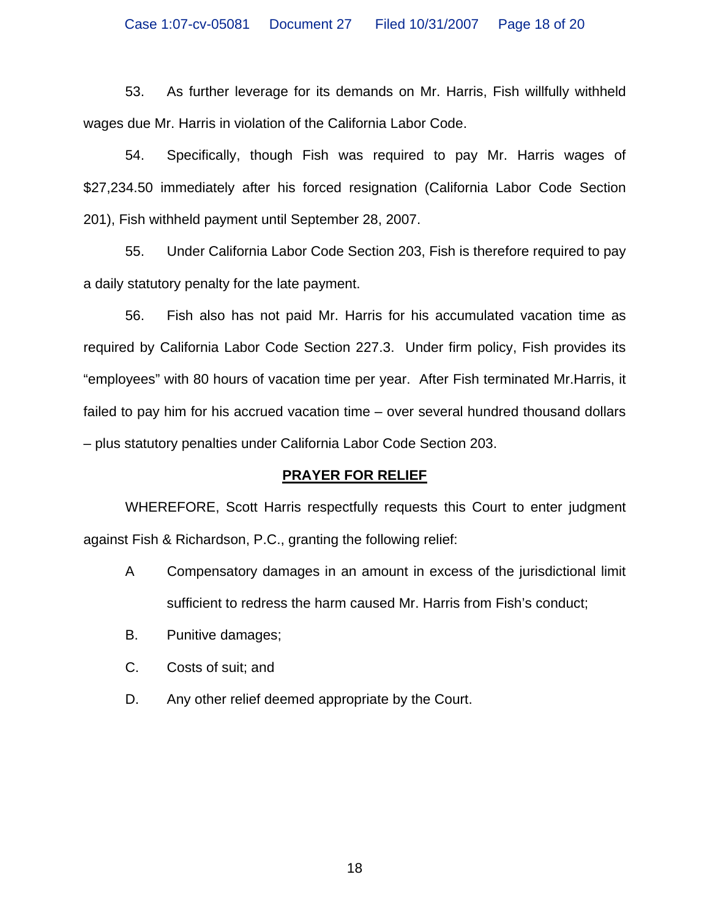53. As further leverage for its demands on Mr. Harris, Fish willfully withheld wages due Mr. Harris in violation of the California Labor Code.

54. Specifically, though Fish was required to pay Mr. Harris wages of \$27,234.50 immediately after his forced resignation (California Labor Code Section 201), Fish withheld payment until September 28, 2007.

55. Under California Labor Code Section 203, Fish is therefore required to pay a daily statutory penalty for the late payment.

56. Fish also has not paid Mr. Harris for his accumulated vacation time as required by California Labor Code Section 227.3. Under firm policy, Fish provides its "employees" with 80 hours of vacation time per year. After Fish terminated Mr.Harris, it failed to pay him for his accrued vacation time – over several hundred thousand dollars – plus statutory penalties under California Labor Code Section 203.

## **PRAYER FOR RELIEF**

 WHEREFORE, Scott Harris respectfully requests this Court to enter judgment against Fish & Richardson, P.C., granting the following relief:

- A Compensatory damages in an amount in excess of the jurisdictional limit sufficient to redress the harm caused Mr. Harris from Fish's conduct;
- B. Punitive damages;
- C. Costs of suit; and
- D. Any other relief deemed appropriate by the Court.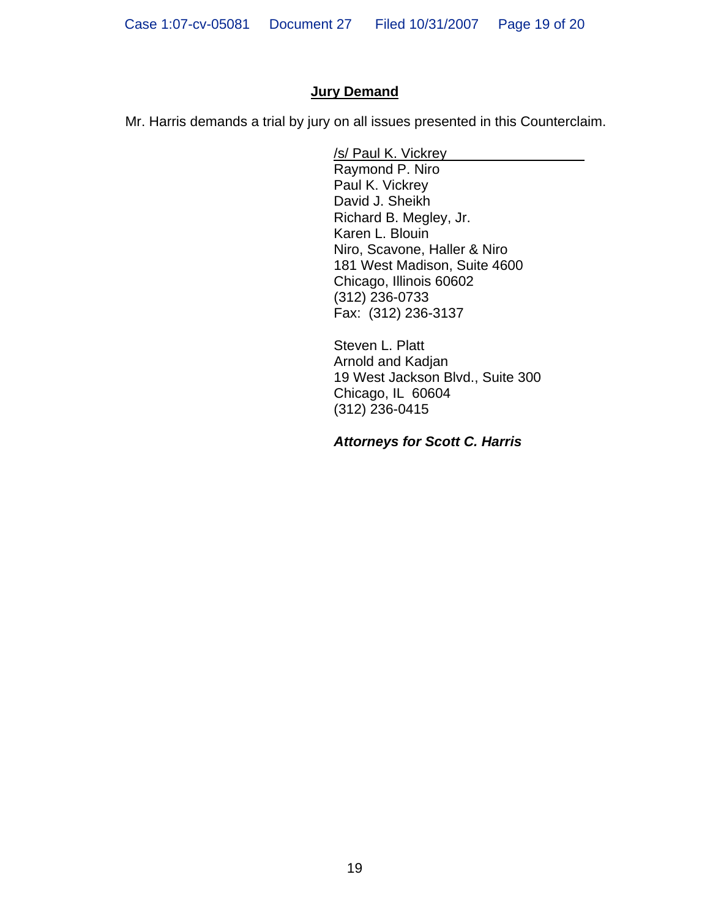## **Jury Demand**

Mr. Harris demands a trial by jury on all issues presented in this Counterclaim.

/s/ Paul K. Vickrey

Raymond P. Niro Paul K. Vickrey David J. Sheikh Richard B. Megley, Jr. Karen L. Blouin Niro, Scavone, Haller & Niro 181 West Madison, Suite 4600 Chicago, Illinois 60602 (312) 236-0733 Fax: (312) 236-3137

Steven L. Platt Arnold and Kadjan 19 West Jackson Blvd., Suite 300 Chicago, IL 60604 (312) 236-0415

*Attorneys for Scott C. Harris*